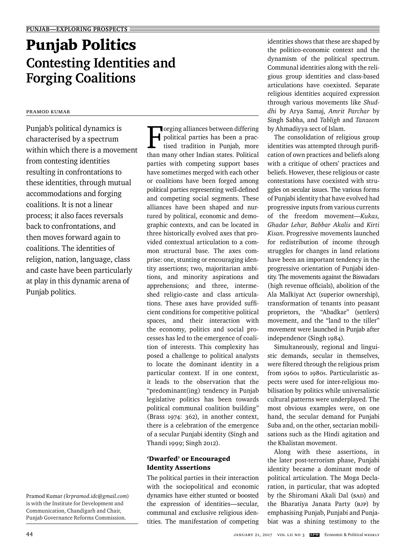# Punjab Politics **Contesting Identities and Forging Coalitions**

## Pramod Kumar

Punjab's political dynamics is characterised by a spectrum within which there is a movement from contesting identities resulting in confrontations to these identities, through mutual accommodations and forging coalitions. It is not a linear process; it also faces reversals back to confrontations, and then moves forward again to coalitions. The identities of religion, nation, language, class and caste have been particularly at play in this dynamic arena of Punjab politics.

Pramod Kumar *(krpramod.idc@gmail.com*) is with the Institute for Development and Communication, Chandigarh and Chair, Punjab Governance Reforms Commission.

Torging alliances between differing<br>political parties has been a prac-<br>tised tradition in Punjab, more<br>than many other Indian states. Political **T**orging alliances between differing political parties has been a practised tradition in Punjab, more parties with competing support bases have sometimes merged with each other or coalitions have been forged among political parties representing well-defined and competing social segments. These alliances have been shaped and nurtured by political, economic and demographic contexts, and can be located in three historically evolved axes that provided contextual articulation to a common structural base. The axes comprise: one, stunting or encouraging identity assertions; two, majoritarian ambitions, and minority aspirations and apprehensions; and three, intermeshed religio-caste and class articulations. These axes have provided sufficient conditions for competitive political spaces, and their interaction with the economy, politics and social processes has led to the emergence of coalition of interests. This complexity has posed a challenge to political analysts to locate the dominant identity in a particular context. If in one context, it leads to the observation that the "predominant(ing) tendency in Punjab legislative politics has been towards political communal coalition building" (Brass 1974: 362), in another context, there is a celebration of the emergence of a secular Punjabi identity (Singh and Thandi 1999; Singh 2012).

### 'Dwarfed' or Encouraged Identity Assertions

The political parties in their interaction with the sociopolitical and economic dynamics have either stunted or boosted the expression of identities—secular, communal and exclusive religious identities. The manifestation of competing

identities shows that these are shaped by the politico-economic context and the dynamism of the political spectrum. Communal identities along with the religious group identities and class-based articulations have coexisted. Separate religious identities acquired expression through various movements like *Shuddhi* by Arya Samaj, *Amrit Parchar* by Singh Sabha, and *Tabligh* and *Tanzeem* by Ahmadiyya sect of Islam.

The consolidation of religious group identities was attempted through purification of own practices and beliefs along with a critique of others' practices and beliefs. However, these religious or caste contestations have coexisted with struggles on secular issues. The various forms of Punjabi identity that have evolved had progressive inputs from various currents of the freedom movement—*Kukas, Ghadar Lehar, Babbar Akalis* and *Kirti Kisan*. Progressive movements launched for redistribution of income through struggles for changes in land relations have been an important tendency in the progressive orientation of Punjabi identity. The movements against the Biswadars (high revenue officials), abolition of the Ala Malkiyat Act (superior ownership), transformation of tenants into peasant proprietors, the "Abadkar" (settlers) movement, and the "land to the tiller" movement were launched in Punjab after independence (Singh 1984).

Simultaneously, regional and linguistic demands, secular in themselves, were filtered through the religious prism from 1960s to 1980s. Particularistic aspects were used for inter-religious mobilisation by politics while universalistic cultural patterns were underplayed. The most obvious examples were, on one hand, the secular demand for Punjabi Suba and, on the other, sectarian mobilisations such as the Hindi agitation and the Khalistan movement.

Along with these assertions, in the later post-terrorism phase, Punjabi identity became a dominant mode of political articulation. The Moga Declaration, in particular, that was adopted by the Shiromani Akali Dal (SAD) and the Bharatiya Janata Party (BJP) by emphasising Punjab, Punjabi and Punjabiat was a shining testimony to the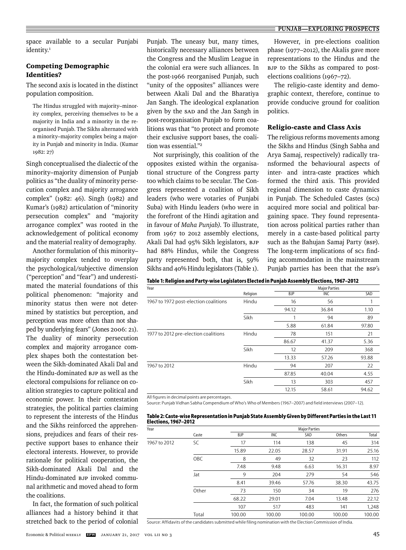space available to a secular Punjabi identity.<sup>1</sup>

#### Competing Demographic Identities?

The second axis is located in the distinct population composition.

The Hindus struggled with majority–minority complex, perceiving themselves to be a majority in India and a minority in the reorganised Punjab. The Sikhs alternated with a minority–majority complex being a majority in Punjab and minority in India. (Kumar 1982: 27)

Singh conceptualised the dialectic of the minority–majority dimension of Punjab politics as "the duality of minority persecution complex and majority arrogance complex" (1982: 46). Singh (1982) and Kumar's (1982) articulation of "minority persecution complex" and "majority arrogance complex" was rooted in the acknowledgement of political economy and the material reality of demography.

Another formulation of this minority– majority complex tended to overplay the psychological/subjective dimension ("perception" and "fear") and underestimated the material foundations of this political phenomenon: "majority and minority status then were not determined by statistics but perception, and perception was more often than not shaped by underlying fears" (Jones 2006: 21). The duality of minority persecution complex and majority arrogance complex shapes both the contestation between the Sikh-dominated Akali Dal and the Hindu-dominated BJP as well as the electoral compulsions for reliance on coalition strategies to capture political and economic power. In their contestation strategies, the political parties claiming to represent the interests of the Hindus and the Sikhs reinforced the apprehensions, prejudices and fears of their respective support bases to enhance their electoral interests. However, to provide rationale for political cooperation, the Sikh-dominated Akali Dal and the Hindu-dominated BJP invoked communal arithmetic and moved ahead to form the coalitions.

In fact, the formation of such political alliances had a history behind it that stretched back to the period of colonial Punjab. The uneasy but, many times, historically necessary alliances between the Congress and the Muslim League in the colonial era were such alliances. In the post-1966 reorganised Punjab, such "unity of the opposites" alliances were between Akali Dal and the Bharatiya Jan Sangh. The ideological explanation given by the SAD and the Jan Sangh in post-reorganisation Punjab to form coalitions was that "to protect and promote their exclusive support bases, the coalition was essential."2

Not surprisingly, this coalition of the opposites existed within the organisational structure of the Congress party too which claims to be secular. The Congress represented a coalition of Sikh leaders (who were votaries of Punjabi Suba) with Hindu leaders (who were in the forefront of the Hindi agitation and in favour of *Maha Punjab)*. To illustrate, from 1967 to 2012 assembly elections, Akali Dal had 95% Sikh legislators, BJP had 88% Hindus, while the Congress party represented both, that is, 59% Sikhs and 40% Hindu legislators (Table 1).

However, in pre-elections coalition phase (1977–2012), the Akalis gave more representations to the Hindus and the BJP to the Sikhs as compared to postelections coalitions (1967–72).

The religio-caste identity and demographic context, therefore, continue to provide conducive ground for coalition politics.

#### Religio-caste and Class Axis

The religious reforms movements among the Sikhs and Hindus (Singh Sabha and Arya Samaj, respectively) radically trans formed the behavioural aspects of inter- and intra-caste practices which formed the third axis. This provided regional dimension to caste dynamics in Punjab. The Scheduled Castes (scs) acquired more social and political bargaining space. They found representation across political parties rather than merely in a caste-based political party such as the Bahujan Samaj Party (BSP). The long-term implications of scs finding accommodation in the mainstream Punjab parties has been that the BSP's

|  | Table 1: Religion and Party-wise Legislators Elected in Punjab Assembly Elections, 1967–2012 |  |  |
|--|----------------------------------------------------------------------------------------------|--|--|
|  |                                                                                              |  |  |

| Year                                  |          |            | <b>Major Parties</b> |       |  |
|---------------------------------------|----------|------------|----------------------|-------|--|
|                                       | Religion | <b>BJP</b> | INC                  | SAD   |  |
| 1967 to 1972 post-election coalitions | Hindu    | 16         | 56                   |       |  |
|                                       |          | 94.12      | 36.84                | 1.10  |  |
|                                       | Sikh     |            | 94                   | 89    |  |
|                                       |          | 5.88       | 61.84                | 97.80 |  |
| 1977 to 2012 pre-election coalitions  | Hindu    | 78         | 151                  | 21    |  |
|                                       |          | 86.67      | 41.37                | 5.36  |  |
|                                       | Sikh     | 12         | 209                  | 368   |  |
|                                       |          | 13.33      | 57.26                | 93.88 |  |
| 1967 to 2012                          | Hindu    | 94         | 207                  | 22    |  |
|                                       |          | 87.85      | 40.04                | 4.55  |  |
|                                       | Sikh     | 13         | 303                  | 457   |  |
|                                       |          | 12.15      | 58.61                | 94.62 |  |

All figures in decimal points are percentages.

Source: Punjab Vidhan Sabha Compendium of Who's Who of Members (1967–2007) and field interviews (2007–12).

| Table 2: Caste-wise Representation in Punjab State Assembly Given by Different Parties in the Last 11 |  |
|-------------------------------------------------------------------------------------------------------|--|
| Elections, 1967–2012                                                                                  |  |

| Year         |            |            |        | <b>Major Parties</b> |        |        |
|--------------|------------|------------|--------|----------------------|--------|--------|
|              | Caste      | <b>BJP</b> | INC    | SAD                  | Others | Total  |
| 1967 to 2012 | SC         | 17         | 114    | 138                  | 45     | 314    |
|              |            | 15.89      | 22.05  | 28.57                | 31.91  | 25.16  |
|              | <b>OBC</b> | 8          | 49     | 32                   | 23     | 112    |
|              |            | 7.48       | 9.48   | 6.63                 | 16.31  | 8.97   |
|              | Jat        | 9          | 204    | 279                  | 54     | 546    |
|              |            | 8.41       | 39.46  | 57.76                | 38.30  | 43.75  |
|              | Other      | 73         | 150    | 34                   | 19     | 276    |
|              |            | 68.22      | 29.01  | 7.04                 | 13.48  | 22.12  |
|              |            | 107        | 517    | 483                  | 141    | 1,248  |
|              | Total      | 100.00     | 100.00 | 100.00               | 100.00 | 100.00 |

Source: Affidavits of the candidates submitted while filing nomination with the Election Commission of India.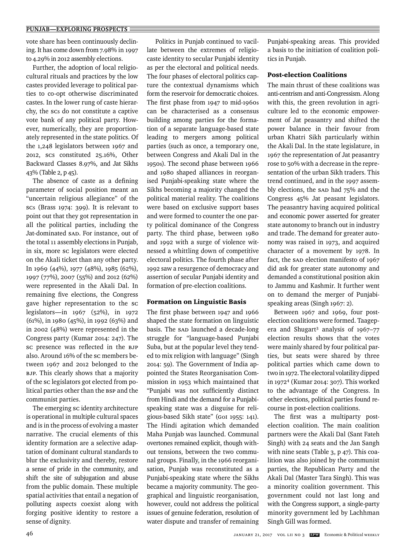vote share has been continuously declining. It has come down from 7.98% in 1997 to 4.29% in 2012 assembly elections.

Further, the adoption of local religiocultural rituals and practices by the low castes provided leverage to political parties to co-opt otherwise discriminated castes. In the lower rung of caste hierarchy, the SCs do not constitute a captive vote bank of any political party. However, numerically, they are proportionately represented in the state politics. Of the 1,248 legislators between 1967 and 2012, SCs constituted 25.16%, Other Backward Classes 8.97%, and Jat Sikhs 43% (Table 2, p 45).

The absence of caste as a defining parameter of social position meant an "uncertain religious allegiance" of the SCs (Brass 1974: 399). It is relevant to point out that they got representation in all the political parties, including the Jat-dominated SAD. For instance, out of the total 11 assembly elections in Punjab, in six, more sc legislators were elected on the Akali ticket than any other party. In 1969 (44%), 1977 (48%), 1985 (62%), 1997 (77%), 2007 (55%) and 2012 (62%) were represented in the Akali Dal. In remaining five elections, the Congress gave higher representation to the Sc legislators—in 1967 (52%), in 1972 (61%), in 1980 (45%), in 1992 (63%) and in 2002 (48%) were represented in the Congress party (Kumar 2014: 247). The sc presence was reflected in the BJP also. Around 16% of the SC members between 1967 and 2012 belonged to the BJP. This clearly shows that a majority of the sc legislators got elected from political parties other than the BSP and the communist parties.

The emerging sc identity architecture is operational in multiple cultural spaces and is in the process of evolving a master narrative. The crucial elements of this identity formation are a selective adaptation of dominant cultural standards to blur the exclusivity and thereby, restore a sense of pride in the community, and shift the site of subjugation and abuse from the public domain. These multiple spatial activities that entail a negation of polluting aspects coexist along with forging positive identity to restore a sense of dignity.

 Politics in Punjab continued to vacillate between the extremes of religiocaste identity to secular Punjabi identity as per the electoral and political needs. The four phases of electoral politics capture the contextual dynamisms which form the reservoir for democratic choices. The first phase from  $1947$  to mid-1960s can be characterised as a consensus building among parties for the formation of a separate language-based state leading to mergers among political parties (such as once, a temporary one, between Congress and Akali Dal in the 1950s). The second phase between 1966 and 1980 shaped alliances in reorganised Punjabi-speaking state where the Sikhs becoming a majority changed the political material reality. The coalitions were based on exclusive support bases and were formed to counter the one party political dominance of the Congress party. The third phase, between 1980 and 1992 with a surge of violence witnessed a whittling down of competitive electoral politics. The fourth phase after 1992 saw a resurgence of democracy and assertion of secular Punjabi identity and formation of pre-election coalitions.

#### Formation on Linguistic Basis

The first phase between 1947 and 1966 shaped the state formation on linguistic basis. The SAD launched a decade-long struggle for "language-based Punjabi Suba, but at the popular level they tended to mix religion with language" (Singh 2014: 59). The Government of India appointed the States Reorganisation Commission in 1953 which maintained that "Punjabi was not sufficiently distinct from Hindi and the demand for a Punjabispeaking state was a disguise for religious-based Sikh state" (GoI 1955: 141). The Hindi agitation which demanded Maha Punjab was launched. Communal overtones remained explicit, though without tensions, between the two communal groups. Finally, in the 1966 reorganisation, Punjab was reconstituted as a Punjabi-speaking state where the Sikhs became a majority community. The geographical and linguistic reorganisation, however, could not address the political issues of genuine federation, resolution of water dispute and transfer of remaining Punjabi-speaking areas. This provided a basis to the initiation of coalition politics in Punjab.

#### Post-election Coalitions

The main thrust of these coalitions was anti-centrism and anti-Congressism. Along with this, the green revolution in agriculture led to the economic empowerment of Jat peasantry and shifted the power balance in their favour from urban Khatri Sikh particularly within the Akali Dal. In the state legislature, in 1967 the representation of Jat peasantry rose to 50% with a decrease in the representation of the urban Sikh traders. This trend continued, and in the 1997 assembly elections, the SAD had 75% and the Congress 45% Jat peasant legislators. The peasantry having acquired political and economic power asserted for greater state autonomy to branch out in industry and trade. The demand for greater autonomy was raised in 1973, and acquired character of a movement by 1978. In fact, the SAD election manifesto of 1967 did ask for greater state autonomy and demanded a constitutional position akin to Jammu and Kashmir. It further went on to demand the merger of Punjabispeaking areas (Singh 1967: 2).

Between 1967 and 1969, four postelection coalitions were formed. Taagepera and Shugart<sup>3</sup> analysis of 1967-77 election results shows that the votes were mainly shared by four political parties, but seats were shared by three political parties which came down to two in 1972. The electoral volatility dipped in 19724 (Kumar 2014: 307). This worked to the advantage of the Congress. In other elections, political parties found recourse in post-election coalitions.

The first was a multiparty postelection coalition. The main coalition partners were the Akali Dal (Sant Fateh Singh) with 24 seats and the Jan Sangh with nine seats (Table 3, p 47). This coalition was also joined by the communist parties, the Republican Party and the Akali Dal (Master Tara Singh). This was a minority coalition government. This government could not last long and with the Congress support, a single-party minority government led by Lachhman Singh Gill was formed.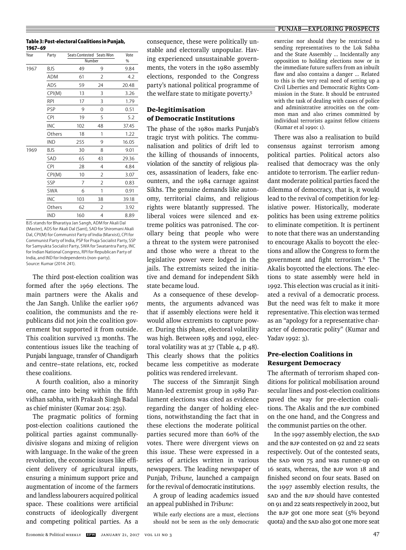Economic & Political WEEKLY **EPW** JANUARY 21, 2017 VOL LII NO 3 47

**Table 3: Post-electoral Coalitions in Punjab, 1967–69**

| Year | Party      |     | Seats Contested Seats Won | Vote  |
|------|------------|-----|---------------------------|-------|
|      |            |     | Number                    | %     |
| 1967 | BJS        | 49  | 9                         | 9.84  |
|      | ADM        | 61  | 2                         | 4.2   |
|      | ADS        | 59  | 24                        | 20.48 |
|      | CPI(M)     | 13  | 3                         | 3.26  |
|      | <b>RPI</b> | 17  | 3                         | 1.79  |
|      | PSP        | 9   | 0                         | 0.51  |
|      | CPI        | 19  | 5                         | 5.2   |
|      | INC        | 102 | 48                        | 37.45 |
|      | Others     | 18  | 1                         | 1.22  |
|      | <b>IND</b> | 255 | 9                         | 16.05 |
| 1969 | <b>BJS</b> | 30  | 8                         | 9.01  |
|      | SAD        | 65  | 43                        | 29.36 |
|      | CPI        | 28  | 4                         | 4.84  |
|      | CPI(M)     | 10  | 2                         | 3.07  |
|      | SSP        | 7   | 2                         | 0.83  |
|      | <b>SWA</b> | 6   | 1                         | 0.91  |
|      | INC        | 103 | 38                        | 39.18 |
|      | Others     | 62  | 2                         | 3.92  |
|      | IND        | 160 | 4                         | 8.89  |

BJS stands for Bharatiya Jan Sangh, ADM for Akali Dal (Master), ADS for Akali Dal (Sant), SAD for Shiromani Akali Dal, CPI(M) for Communist Party of India (Marxist), CPI for Communist Party of India, PSP for Praja Socialist Party, SSP for Samyukta Socialist Party, SWA for Swatantra Party, INC for Indian National Congress, RPI for Republican Party of India, and IND for Independents (non-party). Source: Kumar (2014: 241).

The third post-election coalition was formed after the 1969 elections. The main partners were the Akalis and the Jan Sangh. Unlike the earlier 1967 coalition, the communists and the republicans did not join the coalition government but supported it from outside. This coalition survived 13 months. The contentious issues like the teaching of Punjabi language, transfer of Chandigarh and centre–state relations, etc, rocked these coalitions.

 A fourth coalition, also a minority one, came into being within the fifth vidhan sabha, with Prakash Singh Badal as chief minister (Kumar 2014: 259).

The pragmatic politics of forming post-election coalitions cautioned the political parties against communallydivisive slogans and mixing of religion with language. In the wake of the green revolution, the economic issues like efficient delivery of agricultural inputs, ensuring a minimum support price and augmentation of income of the farmers and landless labourers acquired political space. These coalitions were artificial constructs of ideologically divergent and competing political parties. As a

consequence, these were politically unstable and electorally unpopular. Having experienced unsustainable governments, the voters in the 1980 assembly elections, responded to the Congress party's national political programme of the welfare state to mitigate poverty.5

### De-legitimisation of Democratic Institutions

The phase of the 1980s marks Punjab's tragic tryst with politics. The communalisation and politics of drift led to the killing of thousands of innocents, violation of the sanctity of religious places, assassination of leaders, fake encounters, and the 1984 carnage against Sikhs. The genuine demands like autonomy, territorial claims, and religious rights were blatantly suppressed. The liberal voices were silenced and extreme politics was patronised. The corollary being that people who were a threat to the system were patronised and those who were a threat to the legislative power were lodged in the jails. The extremists seized the initiative and demand for independent Sikh state became loud.

As a consequence of these developments, the arguments advanced was that if assembly elections were held it would allow extremists to capture power. During this phase, electoral volatility was high. Between 1985 and 1992, electoral volatility was at 37 (Table 4, p 48). This clearly shows that the politics became less competitive as moderate politics was rendered irrelevant.

The success of the Simranjit Singh Mann-led extremist group in 1989 Parliament elections was cited as evidence regarding the danger of holding elections, notwithstanding the fact that in these elections the moderate political parties secured more than 60% of the votes. There were divergent views on this issue. These were expressed in a series of articles written in various newspapers. The leading newspaper of Punjab, *Tribune,* launched a campaign for the revival of democratic institutions.

A group of leading academics issued an appeal published in *Tribune*:

While early elections are a must, elections should not be seen as the only democratic

#### **PUNJAB—EXPLORING PROSPECTS**

exercise nor should they be restricted to sending representatives to the Lok Sabha and the State Assembly ... Incidentally any opposition to holding elections now or in the immediate future suffers from an inbuilt flaw and also contains a danger ... Related to this is the very real need of setting up a Civil Liberties and Democratic Rights Commission in the State. It should be entrusted with the task of dealing with cases of police and administrative atrocities on the common man and also crimes committed by individual terrorists against fellow citizens (Kumar et al 1990: 1).

There was also a realisation to build consensus against terrorism among political parties. Political actors also realised that democracy was the only antidote to terrorism. The earlier redundant moderate political parties faced the dilemma of democracy, that is, it would lead to the revival of competition for legislative power. Historically, moderate politics has been using extreme politics to eliminate competition. It is pertinent to note that there was an understanding to encourage Akalis to boycott the elections and allow the Congress to form the government and fight terrorism.<sup>6</sup> The Akalis boycotted the elections. The elections to state assembly were held in 1992. This election was crucial as it initiated a revival of a democratic process. But the need was felt to make it more representative. This election was termed as an "apology for a representative character of democratic polity" (Kumar and Yadav 1992: 3).

#### Pre-election Coalitions in Resurgent Democracy

The aftermath of terrorism shaped conditions for political mobilisation around secular lines and post-election coalitions paved the way for pre-election coalitions. The Akalis and the BJP combined on the one hand, and the Congress and the communist parties on the other.

In the 1997 assembly election, the SAD and the BJP contested on 92 and 22 seats respectively. Out of the contested seats, the SAD won 75 and was runner-up on 16 seats, whereas, the BJP won 18 and finished second on four seats. Based on the 1997 assembly election results, the SAD and the BJP should have contested on 91 and 22 seats respectively in 2002, but the BJP got one more seat (5% beyond quota) and the SAD also got one more seat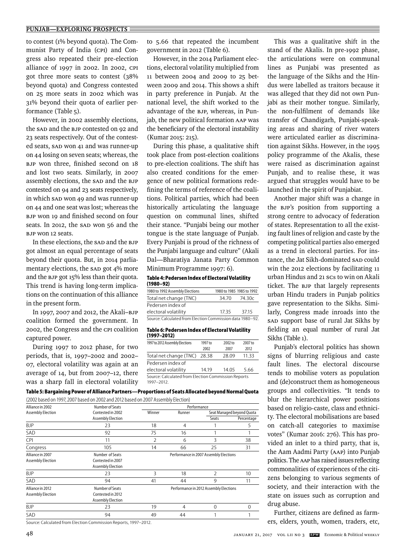#### **PUNJAB—EXPLORING PROSPECTS**

to contest (1% beyond quota). The Communist Party of India (CPI) and Congress also repeated their pre-election alliance of 1997 in 2002. In 2002, CPI got three more seats to contest (38% beyond quota) and Congress contested on 25 more seats in 2002 which was 31% beyond their quota of earlier performance (Table 5).

However, in 2002 assembly elections, the SAD and the BJP contested on 92 and 23 seats respectively. Out of the contested seats, SAD won 41 and was runner-up on 44 losing on seven seats; whereas, the BJP won three, finished second on 18 and lost two seats. Similarly, in 2007 assembly elections, the SAD and the BJP contested on 94 and 23 seats respectively, in which SAD won 49 and was runner-up on 44 and one seat was lost; whereas the BJP won 19 and finished second on four seats. In 2012, the SAD won 56 and the BJP won 12 seats.

In these elections, the SAD and the BJP got almost an equal percentage of seats beyond their quota. But, in 2014 parliamentary elections, the SAD got 4% more and the BJP got 15% less than their quota. This trend is having long-term implications on the continuation of this alliance in the present form.

In 1997, 2007 and 2012, the Akali–BJP coalition formed the government. In 2002, the Congress and the CPI coalition captured power.

During 1997 to 2012 phase, for two periods, that is, 1997–2002 and 2002– 07, electoral volatility was again at an average of 14, but from 2007–12, there was a sharp fall in electoral volatility

to 5.66 that repeated the incumbent government in 2012 (Table 6).

However, in the 2014 Parliament elections, electoral volatility multiplied from 11 between 2004 and 2009 to 25 between 2009 and 2014. This shows a shift in party preference in Punjab. At the national level, the shift worked to the advantage of the BJP, whereas, in Punjab, the new political formation AAP was the beneficiary of the electoral instability (Kumar 2015: 215).

During this phase, a qualitative shift took place from post-election coalitions to pre-election coalitions. The shift has also created conditions for the emergence of new political formations redefining the terms of reference of the coalitions. Political parties, which had been historically articulating the language question on communal lines, shifted their stance. "Punjabi being our mother tongue is the state language of Punjab. Every Punjabi is proud of the richness of the Punjabi language and culture" (Akali Dal—Bharatiya Janata Party Common Minimum Programme 1997: 6).

#### **Table 4: Pedersen Index of Electoral Volatility (1980–92)**

| 1980 to 1992 Assembly Elections                           |       | 1980 to 1985 1985 to 1992 |
|-----------------------------------------------------------|-------|---------------------------|
| Total net change (TNC)                                    | 34.70 | 74.30c                    |
| Pedersen index of                                         |       |                           |
| electoral volatility                                      | 1735  | 3715                      |
| Source: Calculated from Election Commission data 1980-92. |       |                           |

#### **Table 6: Pedersen Index of Electoral Volatility (1997–2012)**

| 1997 to 2012 Assembly Elections                                   | 1997 to | 2002 to | 2007 to |  |  |
|-------------------------------------------------------------------|---------|---------|---------|--|--|
|                                                                   | 2002    | 2007    | 2012    |  |  |
| Total net change (TNC)                                            | 28.38   | 28.09   | 11.33   |  |  |
| Pedersen index of                                                 |         |         |         |  |  |
| electoral volatility                                              | 14 19   | 14.05   | 5.66    |  |  |
| Source: Calculated from Election Commission Reports<br>1997-2012. |         |         |         |  |  |

**Table 5: Bargaining Power of Alliance Partners—Proportions of Seats Allocated beyond Normal Quota**

|--|

| Alliance in 2002  | Number of Seats   | Performance                            |        |               |                           |
|-------------------|-------------------|----------------------------------------|--------|---------------|---------------------------|
| Assembly Election | Contested in 2002 | Winner                                 | Runner |               | Seat Managed beyond Quota |
|                   | Assembly Election |                                        |        | Seats         | Percentage                |
| <b>BJP</b>        | 23                | 18                                     | 4      |               | 5                         |
| SAD               | 92                | 75                                     | 16     |               |                           |
| CPI               | 11                | 2                                      | 6      | 3             | 38                        |
| Congress          | 105               | 14                                     | 66     | 25            | 31                        |
| Alliance in 2007  | Number of Seats   | Performance in 2007 Assembly Elections |        |               |                           |
| Assembly Election | Contested in 2007 |                                        |        |               |                           |
|                   | Assembly Election |                                        |        |               |                           |
| <b>BJP</b>        | 23                | 3                                      | 18     | $\mathcal{P}$ | 10                        |
| SAD               | 94                | 41                                     | 44     | 9             | 11                        |
| Alliance in 2012  | Number of Seats   | Performance in 2012 Assembly Elections |        |               |                           |
| Assembly Election | Contested in 2012 |                                        |        |               |                           |
|                   | Assembly Election |                                        |        |               |                           |
| <b>BJP</b>        | 23                | 19                                     | 4      | 0             | 0                         |
| SAD               | 94                | 49                                     | 44     |               |                           |

Source: Calculated from Election Commission Reports, 1997–2012.

This was a qualitative shift in the stand of the Akalis. In pre-1992 phase, the articulations were on communal lines as Punjabi was presented as the language of the Sikhs and the Hindus were labelled as traitors because it was alleged that they did not own Punjabi as their mother tongue. Similarly, the non-fulfilment of demands like transfer of Chandigarh, Punjabi-speaking areas and sharing of river waters were articulated earlier as discrimination against Sikhs. However, in the 1995 policy programme of the Akalis, these were raised as discrimination against Punjab, and to realise these, it was argued that struggles would have to be launched in the spirit of Punjabiat.

Another major shift was a change in the BJP's position from supporting a strong centre to advocacy of federation of states. Representation to all the existing fault lines of religion and caste by the competing political parties also emerged as a trend in electoral parties. For instance, the Jat Sikh-dominated SAD could win the 2012 elections by facilitating 11 urban Hindus and 21 SCs to win on Akali ticket. The BJP that largely represents urban Hindu traders in Punjab politics gave representation to the Sikhs. Similarly, Congress made inroads into the SAD support base of rural Jat Sikhs by fielding an equal number of rural Jat Sikhs (Table 1).

Punjab's electoral politics has shown signs of blurring religious and caste fault lines. The electoral discourse tends to mobilise voters as population and (de)construct them as homogeneous groups and collectivities. "It tends to blur the hierarchical power positions based on religio-caste, class and ethnicity. The electoral mobilisations are based on catch-all categories to maximise votes" (Kumar 2016: 276). This has provided an inlet to a third party, that is, the Aam Aadmi Party (AAP) into Punjab politics. The AAP has raised issues reflecting commonalities of experiences of the citizens belonging to various segments of society, and their interaction with the state on issues such as corruption and drug abuse.

Further, citizens are defined as farmers, elders, youth, women, traders, etc,